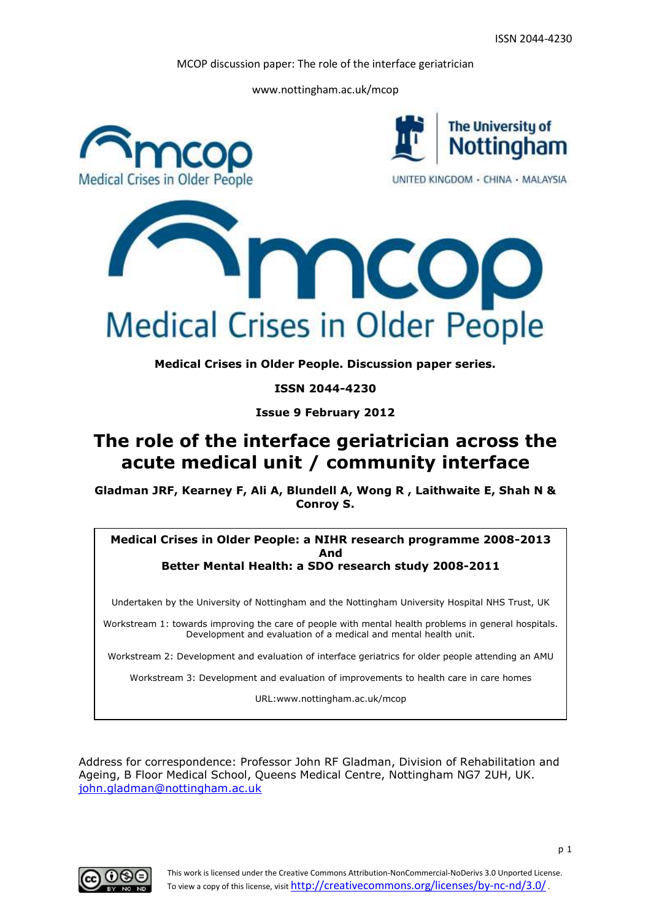www.nottingham.ac.uk/mcop



**Medical Crises in Older People. Discussion paper series.**

**ISSN 2044-4230**

**Issue 9 February 2012**

# **The role of the interface geriatrician across the acute medical unit / community interface**

**Gladman JRF, Kearney F, Ali A, Blundell A, Wong R , Laithwaite E, Shah N & Conroy S.**

## **Medical Crises in Older People: a NIHR research programme 2008-2013 And Better Mental Health: a SDO research study 2008-2011**

Undertaken by the University of Nottingham and the Nottingham University Hospital NHS Trust, UK

Workstream 1: towards improving the care of people with mental health problems in general hospitals. Development and evaluation of a medical and mental health unit.

Workstream 2: Development and evaluation of interface geriatrics for older people attending an AMU

Workstream 3: Development and evaluation of improvements to health care in care homes

URL:www.nottingham.ac.uk/mcop

Address for correspondence: Professor John RF Gladman, Division of Rehabilitation and Ageing, B Floor Medical School, Queens Medical Centre, Nottingham NG7 2UH, UK. [john.gladman@nottingham.ac.uk](mailto:john.gladman@nottingham.ac.uk)

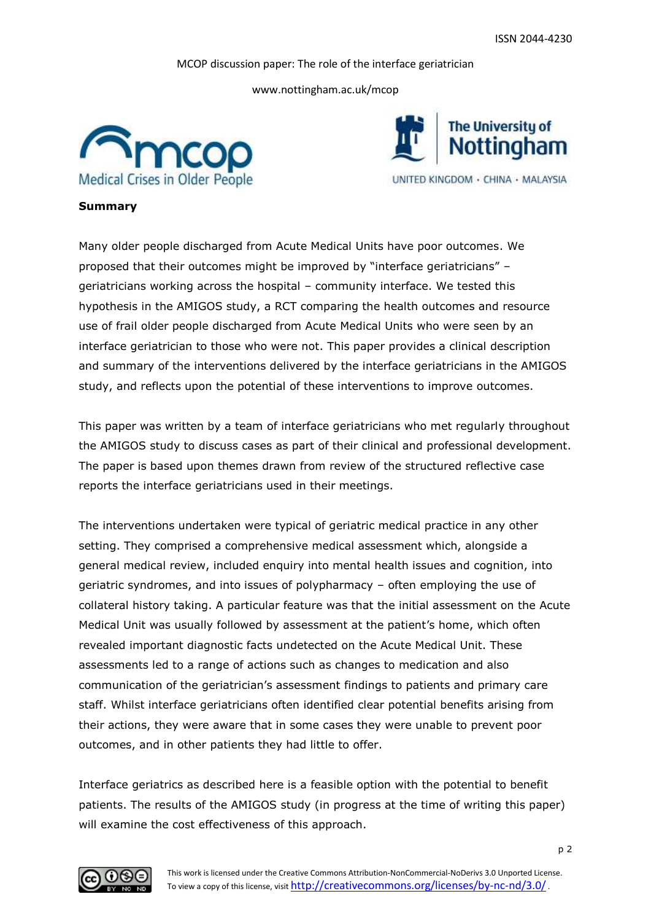www.nottingham.ac.uk/mcop





# **Summary**

Many older people discharged from Acute Medical Units have poor outcomes. We proposed that their outcomes might be improved by "interface geriatricians" – geriatricians working across the hospital – community interface. We tested this hypothesis in the AMIGOS study, a RCT comparing the health outcomes and resource use of frail older people discharged from Acute Medical Units who were seen by an interface geriatrician to those who were not. This paper provides a clinical description and summary of the interventions delivered by the interface geriatricians in the AMIGOS study, and reflects upon the potential of these interventions to improve outcomes.

This paper was written by a team of interface geriatricians who met regularly throughout the AMIGOS study to discuss cases as part of their clinical and professional development. The paper is based upon themes drawn from review of the structured reflective case reports the interface geriatricians used in their meetings.

The interventions undertaken were typical of geriatric medical practice in any other setting. They comprised a comprehensive medical assessment which, alongside a general medical review, included enquiry into mental health issues and cognition, into geriatric syndromes, and into issues of polypharmacy – often employing the use of collateral history taking. A particular feature was that the initial assessment on the Acute Medical Unit was usually followed by assessment at the patient's home, which often revealed important diagnostic facts undetected on the Acute Medical Unit. These assessments led to a range of actions such as changes to medication and also communication of the geriatrician's assessment findings to patients and primary care staff. Whilst interface geriatricians often identified clear potential benefits arising from their actions, they were aware that in some cases they were unable to prevent poor outcomes, and in other patients they had little to offer.

Interface geriatrics as described here is a feasible option with the potential to benefit patients. The results of the AMIGOS study (in progress at the time of writing this paper) will examine the cost effectiveness of this approach.

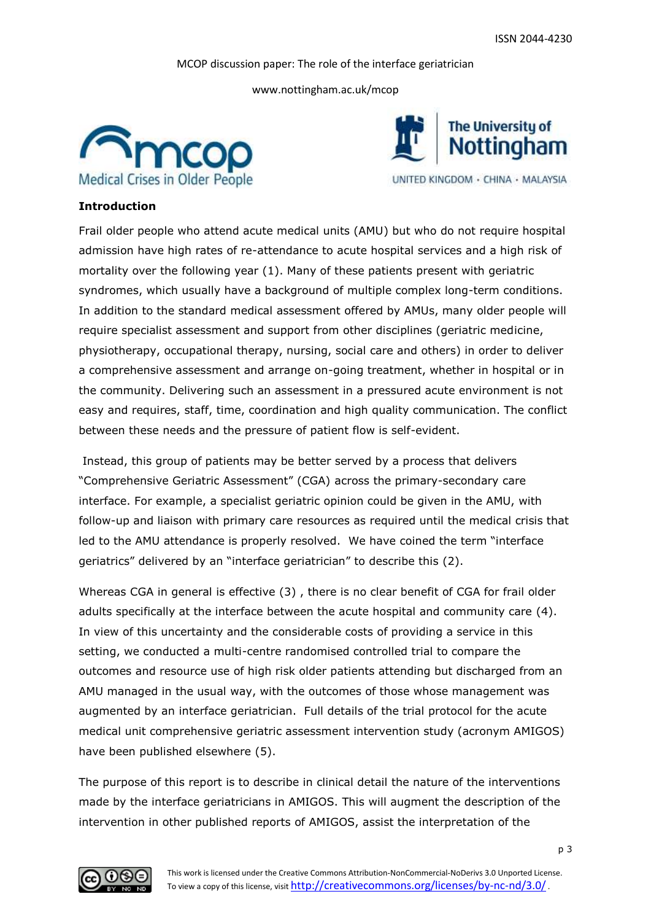www.nottingham.ac.uk/mcop





# **Introduction**

Frail older people who attend acute medical units (AMU) but who do not require hospital admission have high rates of re-attendance to acute hospital services and a high risk of mortality over the following year (1). Many of these patients present with geriatric syndromes, which usually have a background of multiple complex long-term conditions. In addition to the standard medical assessment offered by AMUs, many older people will require specialist assessment and support from other disciplines (geriatric medicine, physiotherapy, occupational therapy, nursing, social care and others) in order to deliver a comprehensive assessment and arrange on-going treatment, whether in hospital or in the community. Delivering such an assessment in a pressured acute environment is not easy and requires, staff, time, coordination and high quality communication. The conflict between these needs and the pressure of patient flow is self-evident.

Instead, this group of patients may be better served by a process that delivers "Comprehensive Geriatric Assessment" (CGA) across the primary-secondary care interface. For example, a specialist geriatric opinion could be given in the AMU, with follow-up and liaison with primary care resources as required until the medical crisis that led to the AMU attendance is properly resolved. We have coined the term "interface geriatrics" delivered by an "interface geriatrician" to describe this (2).

Whereas CGA in general is effective (3) , there is no clear benefit of CGA for frail older adults specifically at the interface between the acute hospital and community care (4). In view of this uncertainty and the considerable costs of providing a service in this setting, we conducted a multi-centre randomised controlled trial to compare the outcomes and resource use of high risk older patients attending but discharged from an AMU managed in the usual way, with the outcomes of those whose management was augmented by an interface geriatrician. Full details of the trial protocol for the acute medical unit comprehensive geriatric assessment intervention study (acronym AMIGOS) have been published elsewhere (5).

The purpose of this report is to describe in clinical detail the nature of the interventions made by the interface geriatricians in AMIGOS. This will augment the description of the intervention in other published reports of AMIGOS, assist the interpretation of the

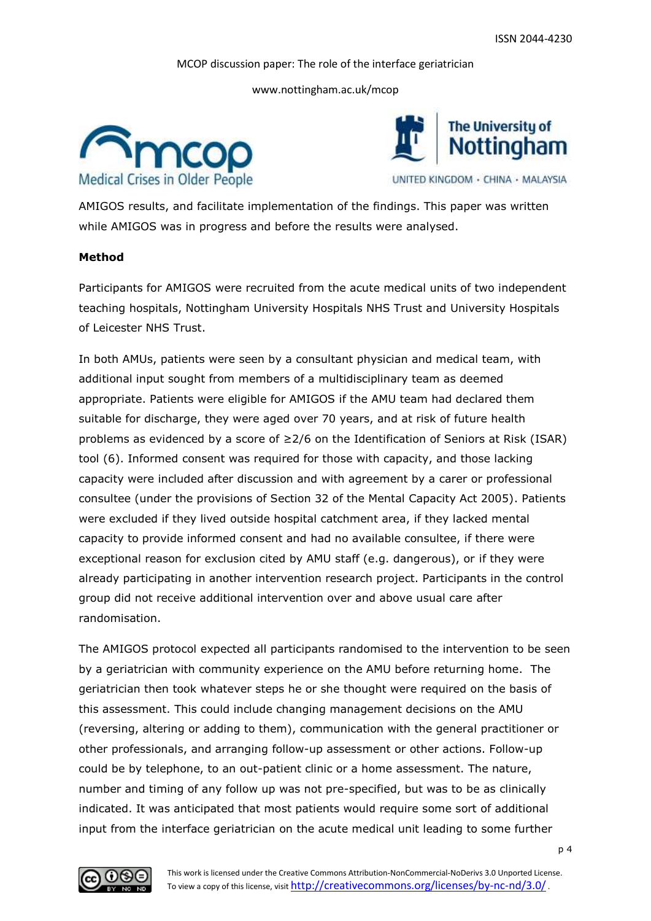www.nottingham.ac.uk/mcop





UNITED KINGDOM · CHINA · MALAYSIA

AMIGOS results, and facilitate implementation of the findings. This paper was written while AMIGOS was in progress and before the results were analysed.

# **Method**

Participants for AMIGOS were recruited from the acute medical units of two independent teaching hospitals, Nottingham University Hospitals NHS Trust and University Hospitals of Leicester NHS Trust.

In both AMUs, patients were seen by a consultant physician and medical team, with additional input sought from members of a multidisciplinary team as deemed appropriate. Patients were eligible for AMIGOS if the AMU team had declared them suitable for discharge, they were aged over 70 years, and at risk of future health problems as evidenced by a score of ≥2/6 on the Identification of Seniors at Risk (ISAR) tool (6). Informed consent was required for those with capacity, and those lacking capacity were included after discussion and with agreement by a carer or professional consultee (under the provisions of Section 32 of the Mental Capacity Act 2005). Patients were excluded if they lived outside hospital catchment area, if they lacked mental capacity to provide informed consent and had no available consultee, if there were exceptional reason for exclusion cited by AMU staff (e.g. dangerous), or if they were already participating in another intervention research project. Participants in the control group did not receive additional intervention over and above usual care after randomisation.

The AMIGOS protocol expected all participants randomised to the intervention to be seen by a geriatrician with community experience on the AMU before returning home. The geriatrician then took whatever steps he or she thought were required on the basis of this assessment. This could include changing management decisions on the AMU (reversing, altering or adding to them), communication with the general practitioner or other professionals, and arranging follow-up assessment or other actions. Follow-up could be by telephone, to an out-patient clinic or a home assessment. The nature, number and timing of any follow up was not pre-specified, but was to be as clinically indicated. It was anticipated that most patients would require some sort of additional input from the interface geriatrician on the acute medical unit leading to some further

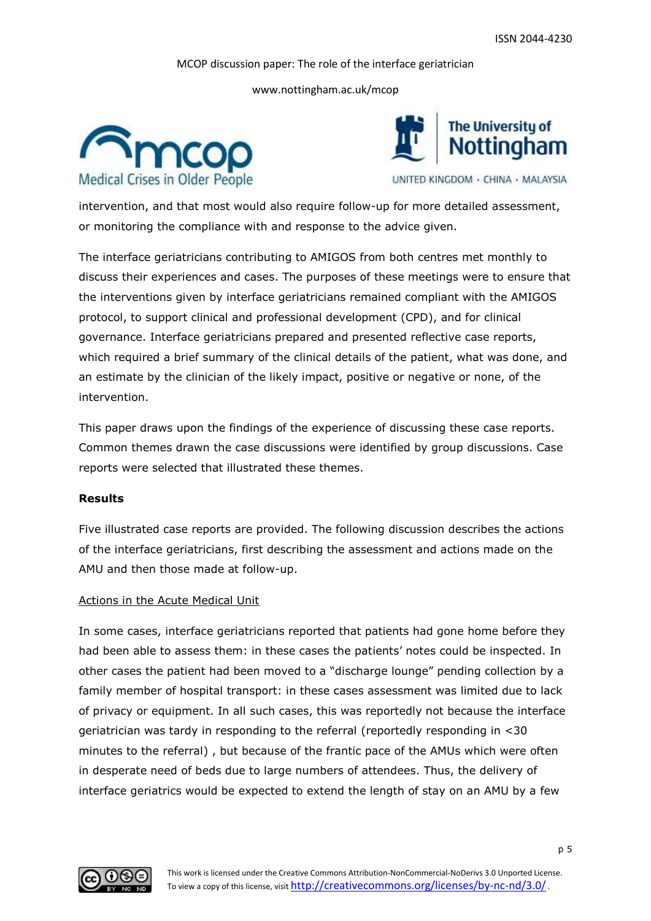www.nottingham.ac.uk/mcop





UNITED KINGDOM · CHINA · MALAYSIA

intervention, and that most would also require follow-up for more detailed assessment, or monitoring the compliance with and response to the advice given.

The interface geriatricians contributing to AMIGOS from both centres met monthly to discuss their experiences and cases. The purposes of these meetings were to ensure that the interventions given by interface geriatricians remained compliant with the AMIGOS protocol, to support clinical and professional development (CPD), and for clinical governance. Interface geriatricians prepared and presented reflective case reports, which required a brief summary of the clinical details of the patient, what was done, and an estimate by the clinician of the likely impact, positive or negative or none, of the intervention.

This paper draws upon the findings of the experience of discussing these case reports. Common themes drawn the case discussions were identified by group discussions. Case reports were selected that illustrated these themes.

## **Results**

Five illustrated case reports are provided. The following discussion describes the actions of the interface geriatricians, first describing the assessment and actions made on the AMU and then those made at follow-up.

#### Actions in the Acute Medical Unit

In some cases, interface geriatricians reported that patients had gone home before they had been able to assess them: in these cases the patients' notes could be inspected. In other cases the patient had been moved to a "discharge lounge" pending collection by a family member of hospital transport: in these cases assessment was limited due to lack of privacy or equipment. In all such cases, this was reportedly not because the interface geriatrician was tardy in responding to the referral (reportedly responding in <30 minutes to the referral) , but because of the frantic pace of the AMUs which were often in desperate need of beds due to large numbers of attendees. Thus, the delivery of interface geriatrics would be expected to extend the length of stay on an AMU by a few

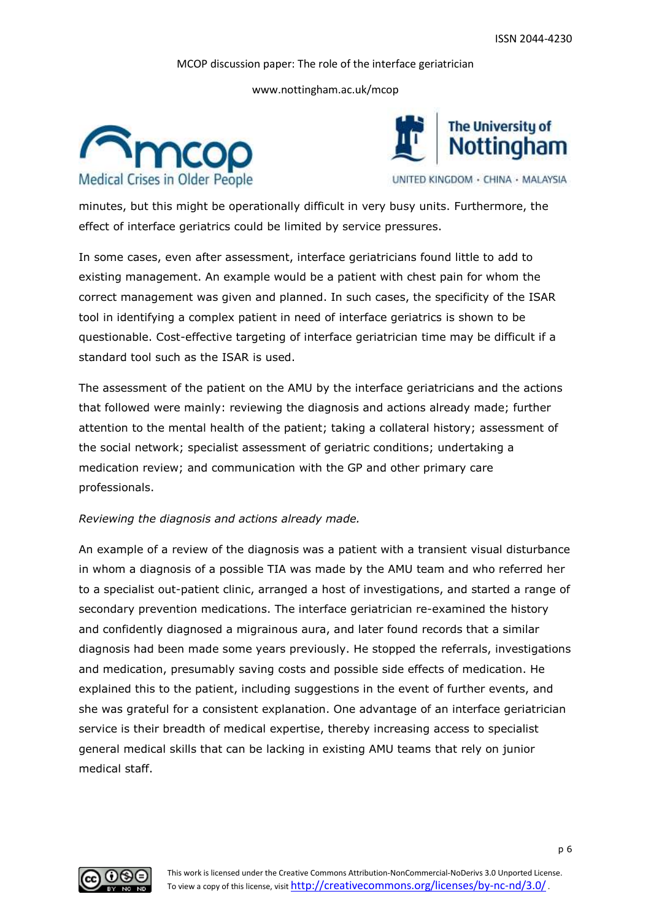www.nottingham.ac.uk/mcop





UNITED KINGDOM · CHINA · MALAYSIA

minutes, but this might be operationally difficult in very busy units. Furthermore, the effect of interface geriatrics could be limited by service pressures.

In some cases, even after assessment, interface geriatricians found little to add to existing management. An example would be a patient with chest pain for whom the correct management was given and planned. In such cases, the specificity of the ISAR tool in identifying a complex patient in need of interface geriatrics is shown to be questionable. Cost-effective targeting of interface geriatrician time may be difficult if a standard tool such as the ISAR is used.

The assessment of the patient on the AMU by the interface geriatricians and the actions that followed were mainly: reviewing the diagnosis and actions already made; further attention to the mental health of the patient; taking a collateral history; assessment of the social network; specialist assessment of geriatric conditions; undertaking a medication review; and communication with the GP and other primary care professionals.

# *Reviewing the diagnosis and actions already made.*

An example of a review of the diagnosis was a patient with a transient visual disturbance in whom a diagnosis of a possible TIA was made by the AMU team and who referred her to a specialist out-patient clinic, arranged a host of investigations, and started a range of secondary prevention medications. The interface geriatrician re-examined the history and confidently diagnosed a migrainous aura, and later found records that a similar diagnosis had been made some years previously. He stopped the referrals, investigations and medication, presumably saving costs and possible side effects of medication. He explained this to the patient, including suggestions in the event of further events, and she was grateful for a consistent explanation. One advantage of an interface geriatrician service is their breadth of medical expertise, thereby increasing access to specialist general medical skills that can be lacking in existing AMU teams that rely on junior medical staff.

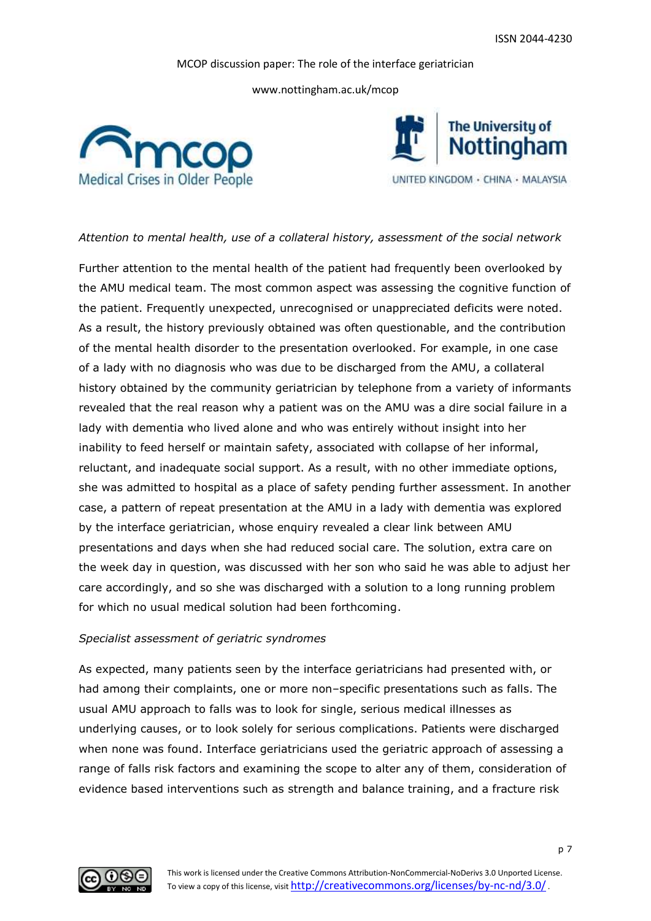www.nottingham.ac.uk/mcop





## *Attention to mental health, use of a collateral history, assessment of the social network*

Further attention to the mental health of the patient had frequently been overlooked by the AMU medical team. The most common aspect was assessing the cognitive function of the patient. Frequently unexpected, unrecognised or unappreciated deficits were noted. As a result, the history previously obtained was often questionable, and the contribution of the mental health disorder to the presentation overlooked. For example, in one case of a lady with no diagnosis who was due to be discharged from the AMU, a collateral history obtained by the community geriatrician by telephone from a variety of informants revealed that the real reason why a patient was on the AMU was a dire social failure in a lady with dementia who lived alone and who was entirely without insight into her inability to feed herself or maintain safety, associated with collapse of her informal, reluctant, and inadequate social support. As a result, with no other immediate options, she was admitted to hospital as a place of safety pending further assessment. In another case, a pattern of repeat presentation at the AMU in a lady with dementia was explored by the interface geriatrician, whose enquiry revealed a clear link between AMU presentations and days when she had reduced social care. The solution, extra care on the week day in question, was discussed with her son who said he was able to adjust her care accordingly, and so she was discharged with a solution to a long running problem for which no usual medical solution had been forthcoming.

#### *Specialist assessment of geriatric syndromes*

As expected, many patients seen by the interface geriatricians had presented with, or had among their complaints, one or more non–specific presentations such as falls. The usual AMU approach to falls was to look for single, serious medical illnesses as underlying causes, or to look solely for serious complications. Patients were discharged when none was found. Interface geriatricians used the geriatric approach of assessing a range of falls risk factors and examining the scope to alter any of them, consideration of evidence based interventions such as strength and balance training, and a fracture risk

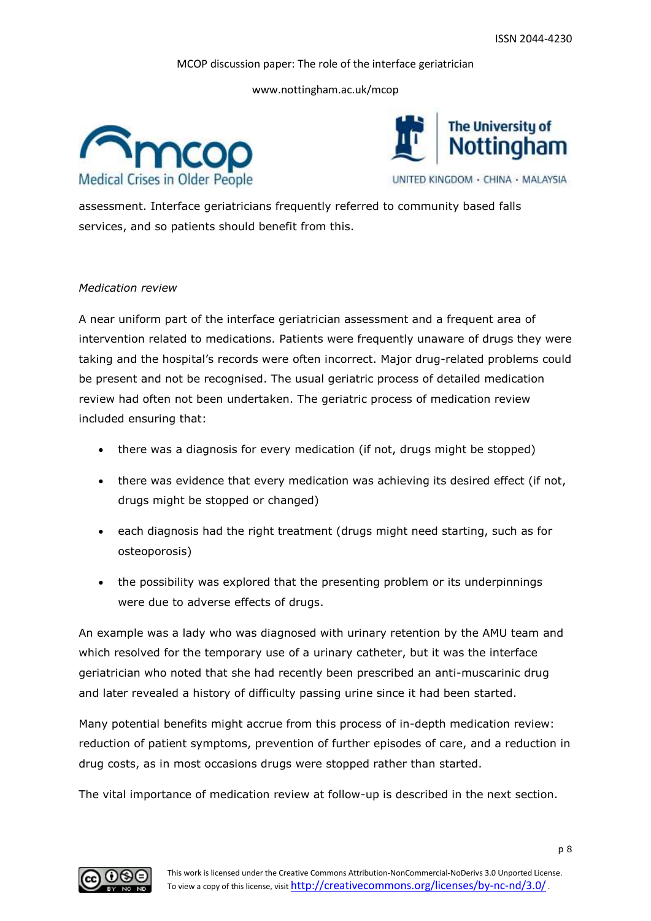www.nottingham.ac.uk/mcop





UNITED KINGDOM · CHINA · MALAYSIA

assessment. Interface geriatricians frequently referred to community based falls services, and so patients should benefit from this.

# *Medication review*

A near uniform part of the interface geriatrician assessment and a frequent area of intervention related to medications. Patients were frequently unaware of drugs they were taking and the hospital's records were often incorrect. Major drug-related problems could be present and not be recognised. The usual geriatric process of detailed medication review had often not been undertaken. The geriatric process of medication review included ensuring that:

- there was a diagnosis for every medication (if not, drugs might be stopped)
- there was evidence that every medication was achieving its desired effect (if not, drugs might be stopped or changed)
- each diagnosis had the right treatment (drugs might need starting, such as for osteoporosis)
- the possibility was explored that the presenting problem or its underpinnings were due to adverse effects of drugs.

An example was a lady who was diagnosed with urinary retention by the AMU team and which resolved for the temporary use of a urinary catheter, but it was the interface geriatrician who noted that she had recently been prescribed an anti-muscarinic drug and later revealed a history of difficulty passing urine since it had been started.

Many potential benefits might accrue from this process of in-depth medication review: reduction of patient symptoms, prevention of further episodes of care, and a reduction in drug costs, as in most occasions drugs were stopped rather than started.

The vital importance of medication review at follow-up is described in the next section.

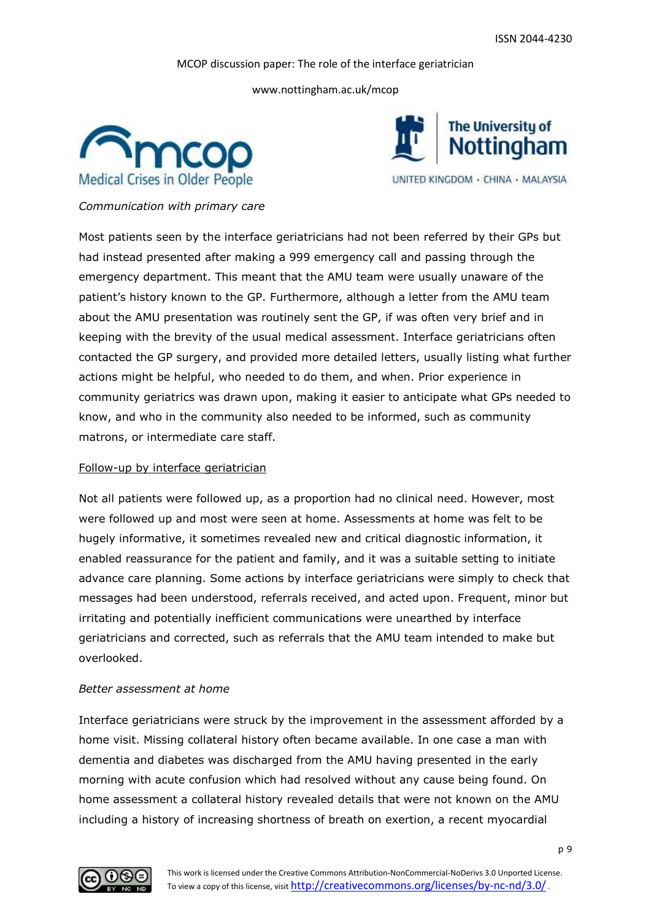www.nottingham.ac.uk/mcop





*Communication with primary care*

Most patients seen by the interface geriatricians had not been referred by their GPs but had instead presented after making a 999 emergency call and passing through the emergency department. This meant that the AMU team were usually unaware of the patient's history known to the GP. Furthermore, although a letter from the AMU team about the AMU presentation was routinely sent the GP, if was often very brief and in keeping with the brevity of the usual medical assessment. Interface geriatricians often contacted the GP surgery, and provided more detailed letters, usually listing what further actions might be helpful, who needed to do them, and when. Prior experience in community geriatrics was drawn upon, making it easier to anticipate what GPs needed to know, and who in the community also needed to be informed, such as community matrons, or intermediate care staff.

# Follow-up by interface geriatrician

Not all patients were followed up, as a proportion had no clinical need. However, most were followed up and most were seen at home. Assessments at home was felt to be hugely informative, it sometimes revealed new and critical diagnostic information, it enabled reassurance for the patient and family, and it was a suitable setting to initiate advance care planning. Some actions by interface geriatricians were simply to check that messages had been understood, referrals received, and acted upon. Frequent, minor but irritating and potentially inefficient communications were unearthed by interface geriatricians and corrected, such as referrals that the AMU team intended to make but overlooked.

# *Better assessment at home*

Interface geriatricians were struck by the improvement in the assessment afforded by a home visit. Missing collateral history often became available. In one case a man with dementia and diabetes was discharged from the AMU having presented in the early morning with acute confusion which had resolved without any cause being found. On home assessment a collateral history revealed details that were not known on the AMU including a history of increasing shortness of breath on exertion, a recent myocardial

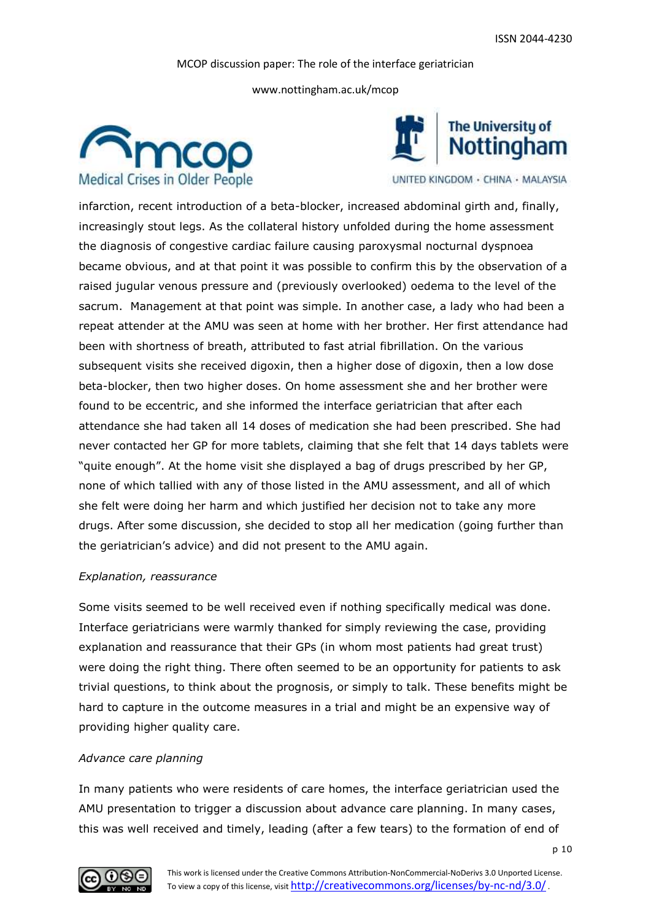www.nottingham.ac.uk/mcop





UNITED KINGDOM · CHINA · MALAYSIA

infarction, recent introduction of a beta-blocker, increased abdominal girth and, finally, increasingly stout legs. As the collateral history unfolded during the home assessment the diagnosis of congestive cardiac failure causing paroxysmal nocturnal dyspnoea became obvious, and at that point it was possible to confirm this by the observation of a raised jugular venous pressure and (previously overlooked) oedema to the level of the sacrum. Management at that point was simple. In another case, a lady who had been a repeat attender at the AMU was seen at home with her brother. Her first attendance had been with shortness of breath, attributed to fast atrial fibrillation. On the various subsequent visits she received digoxin, then a higher dose of digoxin, then a low dose beta-blocker, then two higher doses. On home assessment she and her brother were found to be eccentric, and she informed the interface geriatrician that after each attendance she had taken all 14 doses of medication she had been prescribed. She had never contacted her GP for more tablets, claiming that she felt that 14 days tablets were "quite enough". At the home visit she displayed a bag of drugs prescribed by her GP, none of which tallied with any of those listed in the AMU assessment, and all of which she felt were doing her harm and which justified her decision not to take any more drugs. After some discussion, she decided to stop all her medication (going further than the geriatrician's advice) and did not present to the AMU again.

# *Explanation, reassurance*

Some visits seemed to be well received even if nothing specifically medical was done. Interface geriatricians were warmly thanked for simply reviewing the case, providing explanation and reassurance that their GPs (in whom most patients had great trust) were doing the right thing. There often seemed to be an opportunity for patients to ask trivial questions, to think about the prognosis, or simply to talk. These benefits might be hard to capture in the outcome measures in a trial and might be an expensive way of providing higher quality care.

#### *Advance care planning*

In many patients who were residents of care homes, the interface geriatrician used the AMU presentation to trigger a discussion about advance care planning. In many cases, this was well received and timely, leading (after a few tears) to the formation of end of

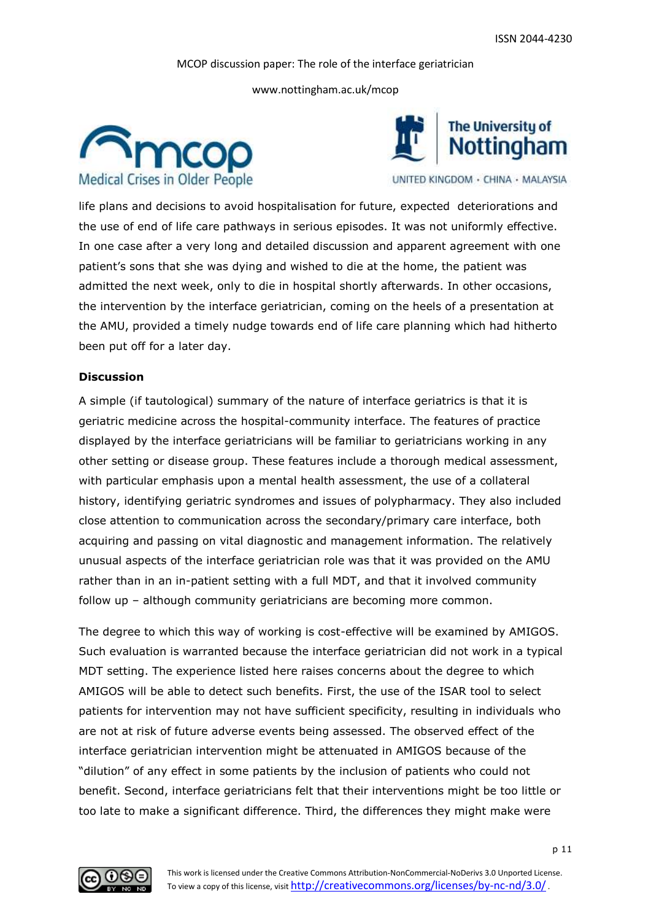www.nottingham.ac.uk/mcop





UNITED KINGDOM · CHINA · MALAYSIA

life plans and decisions to avoid hospitalisation for future, expected deteriorations and the use of end of life care pathways in serious episodes. It was not uniformly effective. In one case after a very long and detailed discussion and apparent agreement with one patient's sons that she was dying and wished to die at the home, the patient was admitted the next week, only to die in hospital shortly afterwards. In other occasions, the intervention by the interface geriatrician, coming on the heels of a presentation at the AMU, provided a timely nudge towards end of life care planning which had hitherto been put off for a later day.

## **Discussion**

A simple (if tautological) summary of the nature of interface geriatrics is that it is geriatric medicine across the hospital-community interface. The features of practice displayed by the interface geriatricians will be familiar to geriatricians working in any other setting or disease group. These features include a thorough medical assessment, with particular emphasis upon a mental health assessment, the use of a collateral history, identifying geriatric syndromes and issues of polypharmacy. They also included close attention to communication across the secondary/primary care interface, both acquiring and passing on vital diagnostic and management information. The relatively unusual aspects of the interface geriatrician role was that it was provided on the AMU rather than in an in-patient setting with a full MDT, and that it involved community follow up – although community geriatricians are becoming more common.

The degree to which this way of working is cost-effective will be examined by AMIGOS. Such evaluation is warranted because the interface geriatrician did not work in a typical MDT setting. The experience listed here raises concerns about the degree to which AMIGOS will be able to detect such benefits. First, the use of the ISAR tool to select patients for intervention may not have sufficient specificity, resulting in individuals who are not at risk of future adverse events being assessed. The observed effect of the interface geriatrician intervention might be attenuated in AMIGOS because of the "dilution" of any effect in some patients by the inclusion of patients who could not benefit. Second, interface geriatricians felt that their interventions might be too little or too late to make a significant difference. Third, the differences they might make were

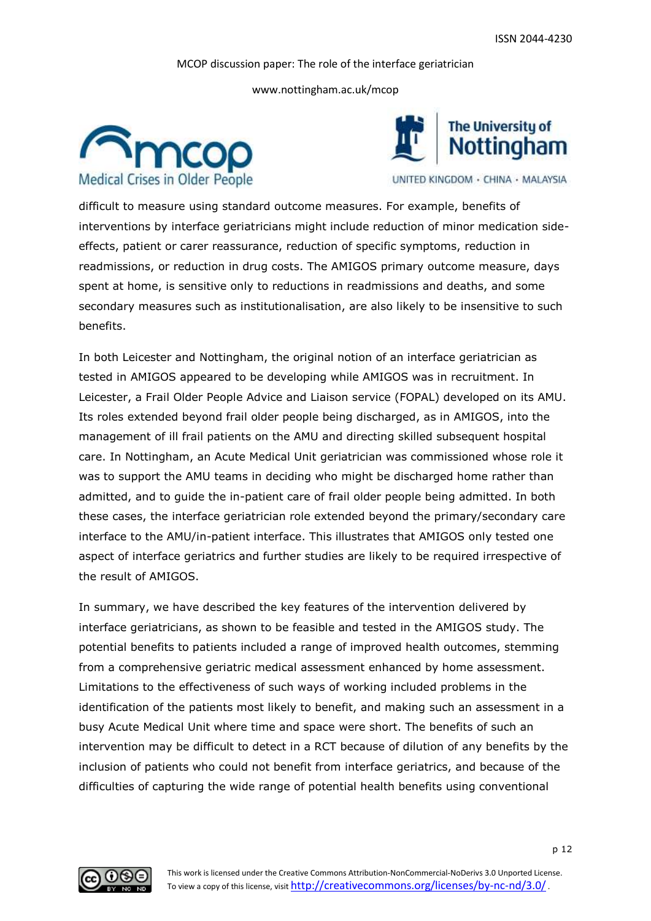www.nottingham.ac.uk/mcop





UNITED KINGDOM · CHINA · MALAYSIA

difficult to measure using standard outcome measures. For example, benefits of interventions by interface geriatricians might include reduction of minor medication sideeffects, patient or carer reassurance, reduction of specific symptoms, reduction in readmissions, or reduction in drug costs. The AMIGOS primary outcome measure, days spent at home, is sensitive only to reductions in readmissions and deaths, and some secondary measures such as institutionalisation, are also likely to be insensitive to such benefits.

In both Leicester and Nottingham, the original notion of an interface geriatrician as tested in AMIGOS appeared to be developing while AMIGOS was in recruitment. In Leicester, a Frail Older People Advice and Liaison service (FOPAL) developed on its AMU. Its roles extended beyond frail older people being discharged, as in AMIGOS, into the management of ill frail patients on the AMU and directing skilled subsequent hospital care. In Nottingham, an Acute Medical Unit geriatrician was commissioned whose role it was to support the AMU teams in deciding who might be discharged home rather than admitted, and to guide the in-patient care of frail older people being admitted. In both these cases, the interface geriatrician role extended beyond the primary/secondary care interface to the AMU/in-patient interface. This illustrates that AMIGOS only tested one aspect of interface geriatrics and further studies are likely to be required irrespective of the result of AMIGOS.

In summary, we have described the key features of the intervention delivered by interface geriatricians, as shown to be feasible and tested in the AMIGOS study. The potential benefits to patients included a range of improved health outcomes, stemming from a comprehensive geriatric medical assessment enhanced by home assessment. Limitations to the effectiveness of such ways of working included problems in the identification of the patients most likely to benefit, and making such an assessment in a busy Acute Medical Unit where time and space were short. The benefits of such an intervention may be difficult to detect in a RCT because of dilution of any benefits by the inclusion of patients who could not benefit from interface geriatrics, and because of the difficulties of capturing the wide range of potential health benefits using conventional

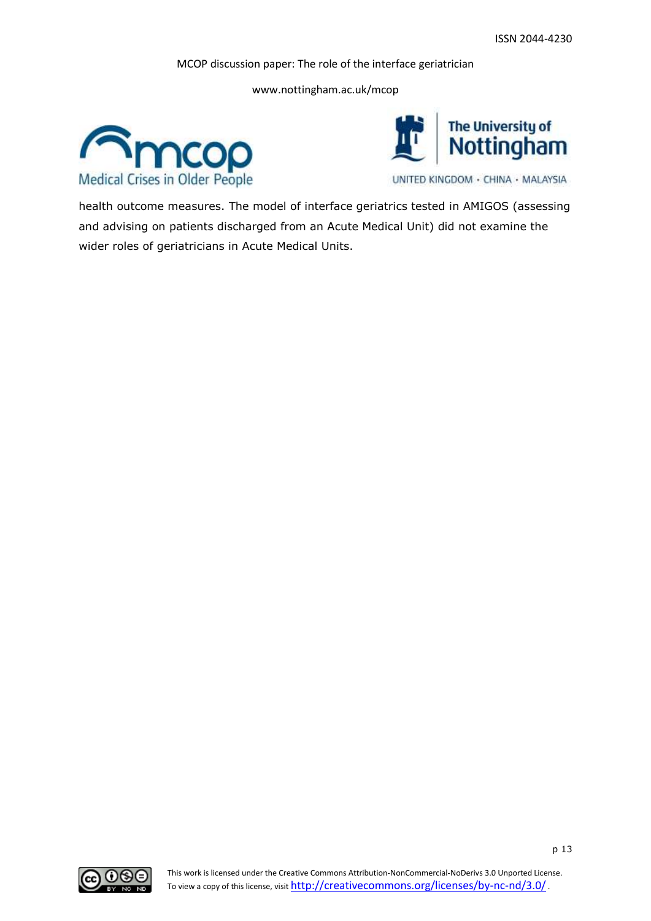www.nottingham.ac.uk/mcop





health outcome measures. The model of interface geriatrics tested in AMIGOS (assessing

and advising on patients discharged from an Acute Medical Unit) did not examine the wider roles of geriatricians in Acute Medical Units.

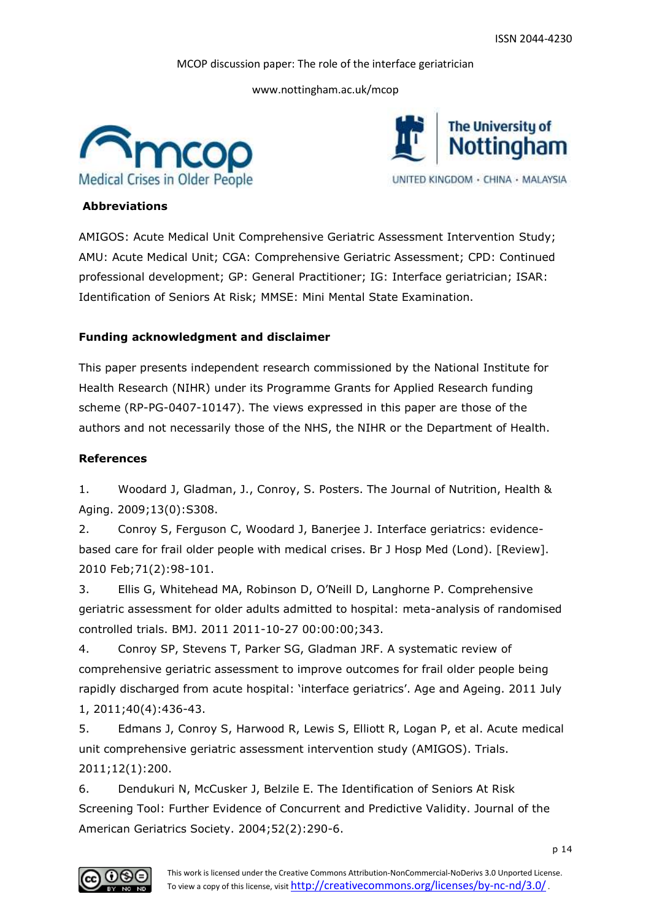www.nottingham.ac.uk/mcop





# **Abbreviations**

AMIGOS: Acute Medical Unit Comprehensive Geriatric Assessment Intervention Study; AMU: Acute Medical Unit; CGA: Comprehensive Geriatric Assessment; CPD: Continued professional development; GP: General Practitioner; IG: Interface geriatrician; ISAR: Identification of Seniors At Risk; MMSE: Mini Mental State Examination.

# **Funding acknowledgment and disclaimer**

This paper presents independent research commissioned by the National Institute for Health Research (NIHR) under its Programme Grants for Applied Research funding scheme (RP-PG-0407-10147). The views expressed in this paper are those of the authors and not necessarily those of the NHS, the NIHR or the Department of Health.

# **References**

1. Woodard J, Gladman, J., Conroy, S. Posters. The Journal of Nutrition, Health & Aging. 2009;13(0):S308.

2. Conroy S, Ferguson C, Woodard J, Banerjee J. Interface geriatrics: evidencebased care for frail older people with medical crises. Br J Hosp Med (Lond). [Review]. 2010 Feb;71(2):98-101.

3. Ellis G, Whitehead MA, Robinson D, O'Neill D, Langhorne P. Comprehensive geriatric assessment for older adults admitted to hospital: meta-analysis of randomised controlled trials. BMJ. 2011 2011-10-27 00:00:00;343.

4. Conroy SP, Stevens T, Parker SG, Gladman JRF. A systematic review of comprehensive geriatric assessment to improve outcomes for frail older people being rapidly discharged from acute hospital: 'interface geriatrics'. Age and Ageing. 2011 July 1, 2011;40(4):436-43.

5. Edmans J, Conroy S, Harwood R, Lewis S, Elliott R, Logan P, et al. Acute medical unit comprehensive geriatric assessment intervention study (AMIGOS). Trials. 2011;12(1):200.

6. Dendukuri N, McCusker J, Belzile E. The Identification of Seniors At Risk Screening Tool: Further Evidence of Concurrent and Predictive Validity. Journal of the American Geriatrics Society. 2004;52(2):290-6.

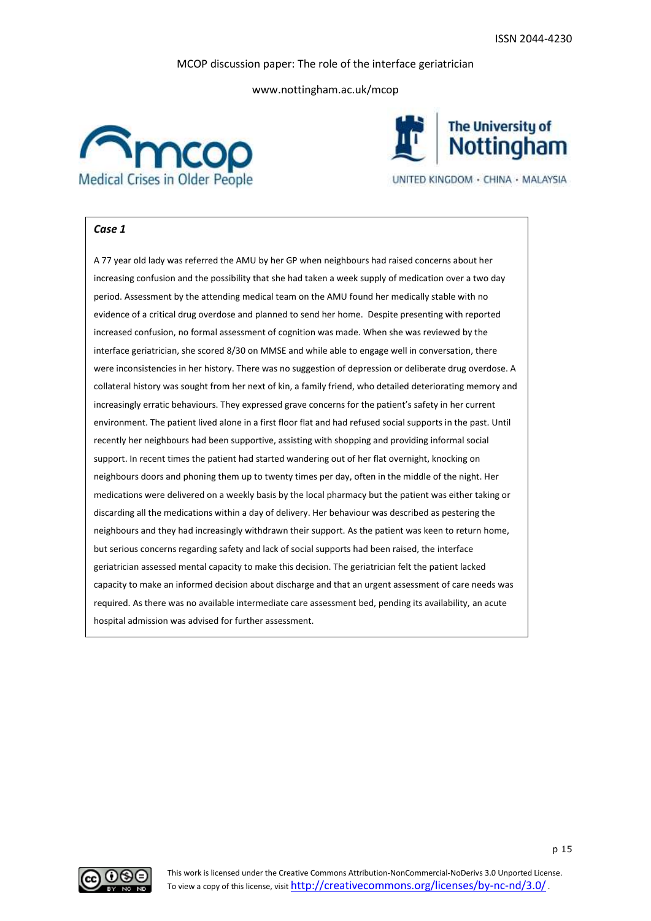www.nottingham.ac.uk/mcop





UNITED KINGDOM · CHINA · MALAYSIA

#### *Case 1*

A 77 year old lady was referred the AMU by her GP when neighbours had raised concerns about her increasing confusion and the possibility that she had taken a week supply of medication over a two day period. Assessment by the attending medical team on the AMU found her medically stable with no evidence of a critical drug overdose and planned to send her home. Despite presenting with reported increased confusion, no formal assessment of cognition was made. When she was reviewed by the interface geriatrician, she scored 8/30 on MMSE and while able to engage well in conversation, there were inconsistencies in her history. There was no suggestion of depression or deliberate drug overdose. A collateral history was sought from her next of kin, a family friend, who detailed deteriorating memory and increasingly erratic behaviours. They expressed grave concerns for the patient's safety in her current environment. The patient lived alone in a first floor flat and had refused social supports in the past. Until recently her neighbours had been supportive, assisting with shopping and providing informal social support. In recent times the patient had started wandering out of her flat overnight, knocking on neighbours doors and phoning them up to twenty times per day, often in the middle of the night. Her medications were delivered on a weekly basis by the local pharmacy but the patient was either taking or discarding all the medications within a day of delivery. Her behaviour was described as pestering the neighbours and they had increasingly withdrawn their support. As the patient was keen to return home, but serious concerns regarding safety and lack of social supports had been raised, the interface geriatrician assessed mental capacity to make this decision. The geriatrician felt the patient lacked capacity to make an informed decision about discharge and that an urgent assessment of care needs was required. As there was no available intermediate care assessment bed, pending its availability, an acute hospital admission was advised for further assessment.

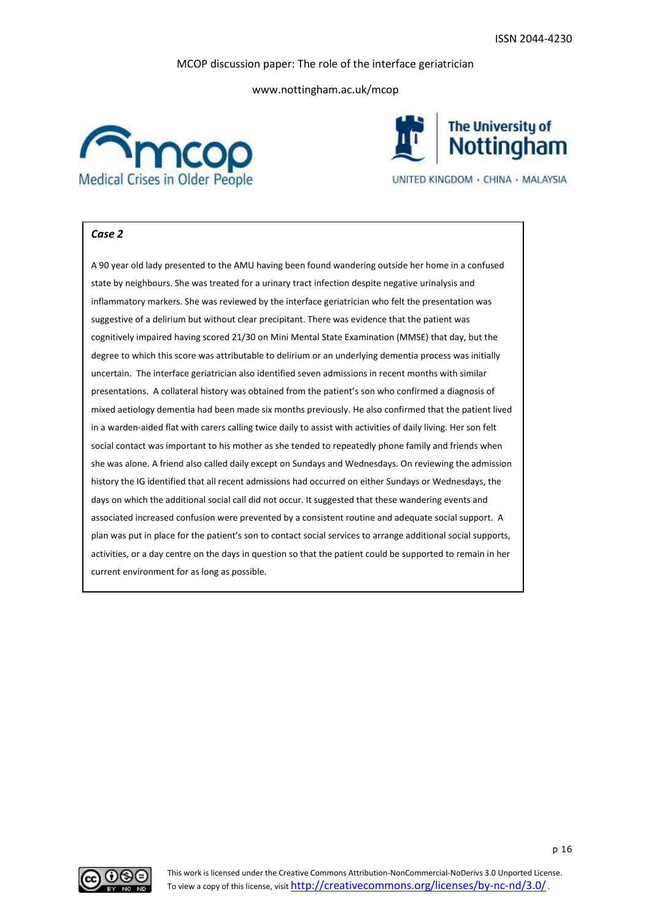www.nottingham.ac.uk/mcop





# *Case 2*

A 90 year old lady presented to the AMU having been found wandering outside her home in a confused state by neighbours. She was treated for a urinary tract infection despite negative urinalysis and inflammatory markers. She was reviewed by the interface geriatrician who felt the presentation was suggestive of a delirium but without clear precipitant. There was evidence that the patient was cognitively impaired having scored 21/30 on Mini Mental State Examination (MMSE) that day, but the degree to which this score was attributable to delirium or an underlying dementia process was initially uncertain. The interface geriatrician also identified seven admissions in recent months with similar presentations. A collateral history was obtained from the patient's son who confirmed a diagnosis of mixed aetiology dementia had been made six months previously. He also confirmed that the patient lived in a warden-aided flat with carers calling twice daily to assist with activities of daily living. Her son felt social contact was important to his mother as she tended to repeatedly phone family and friends when she was alone. A friend also called daily except on Sundays and Wednesdays. On reviewing the admission history the IG identified that all recent admissions had occurred on either Sundays or Wednesdays, the days on which the additional social call did not occur. It suggested that these wandering events and associated increased confusion were prevented by a consistent routine and adequate social support. A plan was put in place for the patient's son to contact social services to arrange additional social supports, activities, or a day centre on the days in question so that the patient could be supported to remain in her current environment for as long as possible.

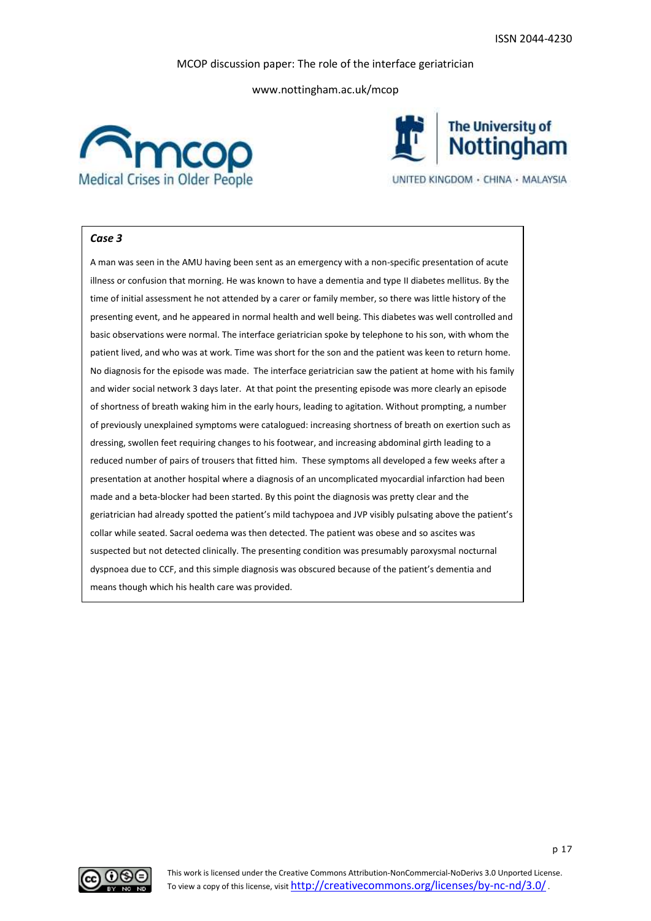www.nottingham.ac.uk/mcop





## *Case 3*

A man was seen in the AMU having been sent as an emergency with a non-specific presentation of acute illness or confusion that morning. He was known to have a dementia and type II diabetes mellitus. By the time of initial assessment he not attended by a carer or family member, so there was little history of the presenting event, and he appeared in normal health and well being. This diabetes was well controlled and basic observations were normal. The interface geriatrician spoke by telephone to his son, with whom the patient lived, and who was at work. Time was short for the son and the patient was keen to return home. No diagnosis for the episode was made. The interface geriatrician saw the patient at home with his family and wider social network 3 days later. At that point the presenting episode was more clearly an episode of shortness of breath waking him in the early hours, leading to agitation. Without prompting, a number of previously unexplained symptoms were catalogued: increasing shortness of breath on exertion such as dressing, swollen feet requiring changes to his footwear, and increasing abdominal girth leading to a reduced number of pairs of trousers that fitted him. These symptoms all developed a few weeks after a presentation at another hospital where a diagnosis of an uncomplicated myocardial infarction had been made and a beta-blocker had been started. By this point the diagnosis was pretty clear and the geriatrician had already spotted the patient's mild tachypoea and JVP visibly pulsating above the patient's collar while seated. Sacral oedema was then detected. The patient was obese and so ascites was suspected but not detected clinically. The presenting condition was presumably paroxysmal nocturnal dyspnoea due to CCF, and this simple diagnosis was obscured because of the patient's dementia and means though which his health care was provided.



p 17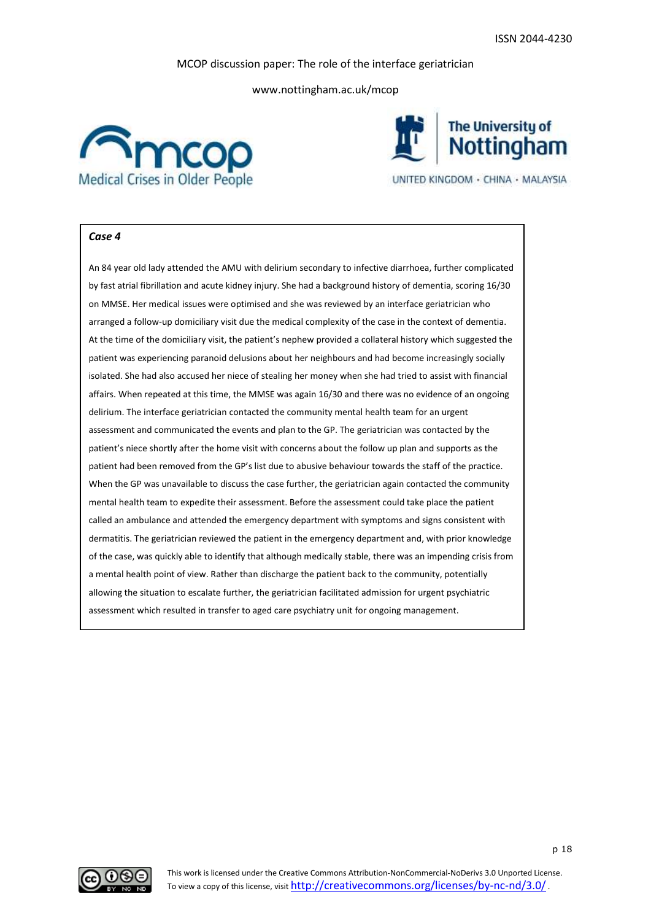www.nottingham.ac.uk/mcop





#### *Case 4*

An 84 year old lady attended the AMU with delirium secondary to infective diarrhoea, further complicated by fast atrial fibrillation and acute kidney injury. She had a background history of dementia, scoring 16/30 on MMSE. Her medical issues were optimised and she was reviewed by an interface geriatrician who arranged a follow-up domiciliary visit due the medical complexity of the case in the context of dementia. At the time of the domiciliary visit, the patient's nephew provided a collateral history which suggested the patient was experiencing paranoid delusions about her neighbours and had become increasingly socially isolated. She had also accused her niece of stealing her money when she had tried to assist with financial affairs. When repeated at this time, the MMSE was again 16/30 and there was no evidence of an ongoing delirium. The interface geriatrician contacted the community mental health team for an urgent assessment and communicated the events and plan to the GP. The geriatrician was contacted by the patient's niece shortly after the home visit with concerns about the follow up plan and supports as the patient had been removed from the GP's list due to abusive behaviour towards the staff of the practice. When the GP was unavailable to discuss the case further, the geriatrician again contacted the community mental health team to expedite their assessment. Before the assessment could take place the patient called an ambulance and attended the emergency department with symptoms and signs consistent with dermatitis. The geriatrician reviewed the patient in the emergency department and, with prior knowledge of the case, was quickly able to identify that although medically stable, there was an impending crisis from a mental health point of view. Rather than discharge the patient back to the community, potentially allowing the situation to escalate further, the geriatrician facilitated admission for urgent psychiatric assessment which resulted in transfer to aged care psychiatry unit for ongoing management.

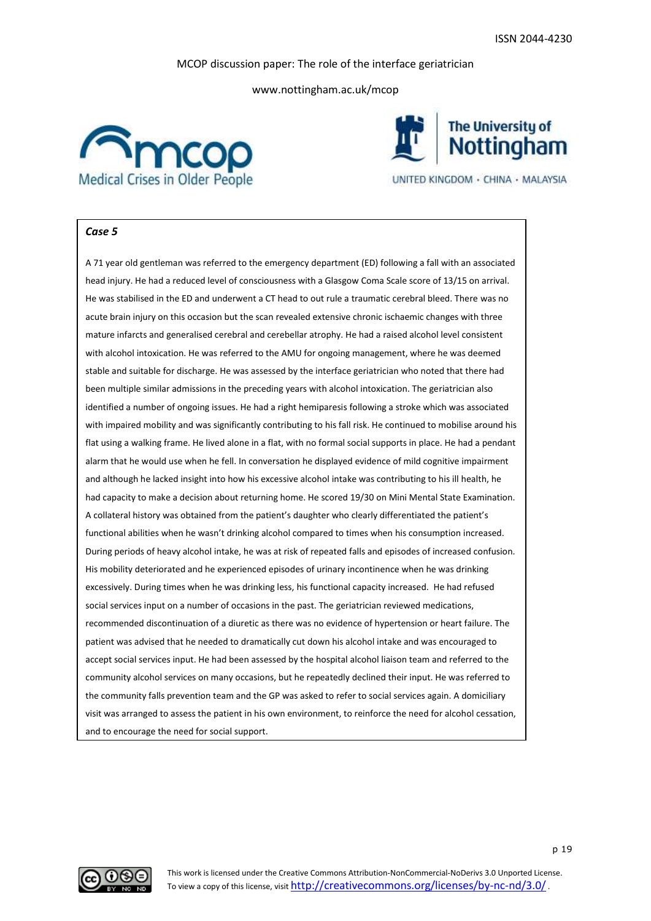www.nottingham.ac.uk/mcop





UNITED KINGDOM · CHINA · MALAYSIA

# *Case 5*

A 71 year old gentleman was referred to the emergency department (ED) following a fall with an associated head injury. He had a reduced level of consciousness with a Glasgow Coma Scale score of 13/15 on arrival. He was stabilised in the ED and underwent a CT head to out rule a traumatic cerebral bleed. There was no acute brain injury on this occasion but the scan revealed extensive chronic ischaemic changes with three mature infarcts and generalised cerebral and cerebellar atrophy. He had a raised alcohol level consistent with alcohol intoxication. He was referred to the AMU for ongoing management, where he was deemed stable and suitable for discharge. He was assessed by the interface geriatrician who noted that there had been multiple similar admissions in the preceding years with alcohol intoxication. The geriatrician also identified a number of ongoing issues. He had a right hemiparesis following a stroke which was associated with impaired mobility and was significantly contributing to his fall risk. He continued to mobilise around his flat using a walking frame. He lived alone in a flat, with no formal social supports in place. He had a pendant alarm that he would use when he fell. In conversation he displayed evidence of mild cognitive impairment and although he lacked insight into how his excessive alcohol intake was contributing to his ill health, he had capacity to make a decision about returning home. He scored 19/30 on Mini Mental State Examination. A collateral history was obtained from the patient's daughter who clearly differentiated the patient's functional abilities when he wasn't drinking alcohol compared to times when his consumption increased. During periods of heavy alcohol intake, he was at risk of repeated falls and episodes of increased confusion. His mobility deteriorated and he experienced episodes of urinary incontinence when he was drinking excessively. During times when he was drinking less, his functional capacity increased. He had refused social services input on a number of occasions in the past. The geriatrician reviewed medications, recommended discontinuation of a diuretic as there was no evidence of hypertension or heart failure. The patient was advised that he needed to dramatically cut down his alcohol intake and was encouraged to accept social services input. He had been assessed by the hospital alcohol liaison team and referred to the community alcohol services on many occasions, but he repeatedly declined their input. He was referred to the community falls prevention team and the GP was asked to refer to social services again. A domiciliary visit was arranged to assess the patient in his own environment, to reinforce the need for alcohol cessation, and to encourage the need for social support.